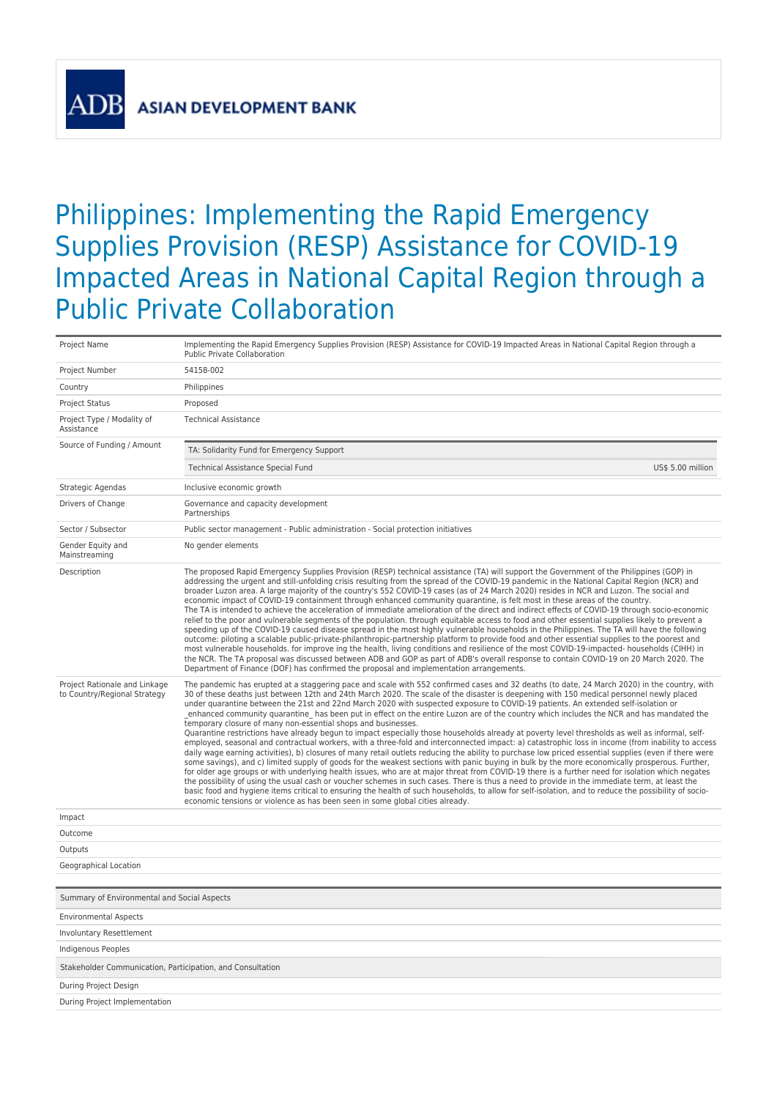## Philippines: Implementing the Rapid Emergency Supplies Provision (RESP) Assistance for COVID-19 Impacted Areas in National Capital Region through a Public Private Collaboration

| Project Name                                                  | Implementing the Rapid Emergency Supplies Provision (RESP) Assistance for COVID-19 Impacted Areas in National Capital Region through a<br>Public Private Collaboration                                                                                                                                                                                                                                                                                                                                                                                                                                                                                                                                                                                                                                                                                                                                                                                                                                                                                                                                                                                                                                                                                                                                                                                                                                                                                                                                                                                                                                                                                                                                                                                                                                      |  |
|---------------------------------------------------------------|-------------------------------------------------------------------------------------------------------------------------------------------------------------------------------------------------------------------------------------------------------------------------------------------------------------------------------------------------------------------------------------------------------------------------------------------------------------------------------------------------------------------------------------------------------------------------------------------------------------------------------------------------------------------------------------------------------------------------------------------------------------------------------------------------------------------------------------------------------------------------------------------------------------------------------------------------------------------------------------------------------------------------------------------------------------------------------------------------------------------------------------------------------------------------------------------------------------------------------------------------------------------------------------------------------------------------------------------------------------------------------------------------------------------------------------------------------------------------------------------------------------------------------------------------------------------------------------------------------------------------------------------------------------------------------------------------------------------------------------------------------------------------------------------------------------|--|
| Project Number                                                | 54158-002                                                                                                                                                                                                                                                                                                                                                                                                                                                                                                                                                                                                                                                                                                                                                                                                                                                                                                                                                                                                                                                                                                                                                                                                                                                                                                                                                                                                                                                                                                                                                                                                                                                                                                                                                                                                   |  |
| Country                                                       | Philippines                                                                                                                                                                                                                                                                                                                                                                                                                                                                                                                                                                                                                                                                                                                                                                                                                                                                                                                                                                                                                                                                                                                                                                                                                                                                                                                                                                                                                                                                                                                                                                                                                                                                                                                                                                                                 |  |
| <b>Project Status</b>                                         | Proposed                                                                                                                                                                                                                                                                                                                                                                                                                                                                                                                                                                                                                                                                                                                                                                                                                                                                                                                                                                                                                                                                                                                                                                                                                                                                                                                                                                                                                                                                                                                                                                                                                                                                                                                                                                                                    |  |
| Project Type / Modality of<br>Assistance                      | <b>Technical Assistance</b>                                                                                                                                                                                                                                                                                                                                                                                                                                                                                                                                                                                                                                                                                                                                                                                                                                                                                                                                                                                                                                                                                                                                                                                                                                                                                                                                                                                                                                                                                                                                                                                                                                                                                                                                                                                 |  |
| Source of Funding / Amount                                    | TA: Solidarity Fund for Emergency Support                                                                                                                                                                                                                                                                                                                                                                                                                                                                                                                                                                                                                                                                                                                                                                                                                                                                                                                                                                                                                                                                                                                                                                                                                                                                                                                                                                                                                                                                                                                                                                                                                                                                                                                                                                   |  |
|                                                               | US\$ 5.00 million<br>Technical Assistance Special Fund                                                                                                                                                                                                                                                                                                                                                                                                                                                                                                                                                                                                                                                                                                                                                                                                                                                                                                                                                                                                                                                                                                                                                                                                                                                                                                                                                                                                                                                                                                                                                                                                                                                                                                                                                      |  |
| Strategic Agendas                                             | Inclusive economic growth                                                                                                                                                                                                                                                                                                                                                                                                                                                                                                                                                                                                                                                                                                                                                                                                                                                                                                                                                                                                                                                                                                                                                                                                                                                                                                                                                                                                                                                                                                                                                                                                                                                                                                                                                                                   |  |
| Drivers of Change                                             | Governance and capacity development<br>Partnerships                                                                                                                                                                                                                                                                                                                                                                                                                                                                                                                                                                                                                                                                                                                                                                                                                                                                                                                                                                                                                                                                                                                                                                                                                                                                                                                                                                                                                                                                                                                                                                                                                                                                                                                                                         |  |
| Sector / Subsector                                            | Public sector management - Public administration - Social protection initiatives                                                                                                                                                                                                                                                                                                                                                                                                                                                                                                                                                                                                                                                                                                                                                                                                                                                                                                                                                                                                                                                                                                                                                                                                                                                                                                                                                                                                                                                                                                                                                                                                                                                                                                                            |  |
| Gender Equity and<br>Mainstreaming                            | No gender elements                                                                                                                                                                                                                                                                                                                                                                                                                                                                                                                                                                                                                                                                                                                                                                                                                                                                                                                                                                                                                                                                                                                                                                                                                                                                                                                                                                                                                                                                                                                                                                                                                                                                                                                                                                                          |  |
| Description                                                   | The proposed Rapid Emergency Supplies Provision (RESP) technical assistance (TA) will support the Government of the Philippines (GOP) in<br>addressing the urgent and still-unfolding crisis resulting from the spread of the COVID-19 pandemic in the National Capital Region (NCR) and<br>broader Luzon area. A large majority of the country's 552 COVID-19 cases (as of 24 March 2020) resides in NCR and Luzon. The social and<br>economic impact of COVID-19 containment through enhanced community quarantine, is felt most in these areas of the country.<br>The TA is intended to achieve the acceleration of immediate amelioration of the direct and indirect effects of COVID-19 through socio-economic<br>relief to the poor and vulnerable segments of the population. through equitable access to food and other essential supplies likely to prevent a<br>speeding up of the COVID-19 caused disease spread in the most highly vulnerable households in the Philippines. The TA will have the following<br>outcome: piloting a scalable public-private-philanthropic-partnership platform to provide food and other essential supplies to the poorest and<br>most vulnerable households. for improve ing the health, living conditions and resilience of the most COVID-19-impacted- households (CIHH) in<br>the NCR. The TA proposal was discussed between ADB and GOP as part of ADB's overall response to contain COVID-19 on 20 March 2020. The<br>Department of Finance (DOF) has confirmed the proposal and implementation arrangements.                                                                                                                                                                                                                                              |  |
| Project Rationale and Linkage<br>to Country/Regional Strategy | The pandemic has erupted at a staggering pace and scale with 552 confirmed cases and 32 deaths (to date, 24 March 2020) in the country, with<br>30 of these deaths just between 12th and 24th March 2020. The scale of the disaster is deepening with 150 medical personnel newly placed<br>under quarantine between the 21st and 22nd March 2020 with suspected exposure to COVID-19 patients. An extended self-isolation or<br>enhanced community quarantine has been put in effect on the entire Luzon are of the country which includes the NCR and has mandated the<br>temporary closure of many non-essential shops and businesses.<br>Quarantine restrictions have already begun to impact especially those households already at poverty level thresholds as well as informal, self-<br>employed, seasonal and contractual workers, with a three-fold and interconnected impact: a) catastrophic loss in income (from inability to access<br>daily wage earning activities), b) closures of many retail outlets reducing the ability to purchase low priced essential supplies (even if there were<br>some savings), and c) limited supply of goods for the weakest sections with panic buying in bulk by the more economically prosperous. Further,<br>for older age groups or with underlying health issues, who are at major threat from COVID-19 there is a further need for isolation which negates<br>the possibility of using the usual cash or voucher schemes in such cases. There is thus a need to provide in the immediate term, at least the<br>basic food and hygiene items critical to ensuring the health of such households, to allow for self-isolation, and to reduce the possibility of socio-<br>economic tensions or violence as has been seen in some global cities already. |  |
| Impact                                                        |                                                                                                                                                                                                                                                                                                                                                                                                                                                                                                                                                                                                                                                                                                                                                                                                                                                                                                                                                                                                                                                                                                                                                                                                                                                                                                                                                                                                                                                                                                                                                                                                                                                                                                                                                                                                             |  |
| Outcome                                                       |                                                                                                                                                                                                                                                                                                                                                                                                                                                                                                                                                                                                                                                                                                                                                                                                                                                                                                                                                                                                                                                                                                                                                                                                                                                                                                                                                                                                                                                                                                                                                                                                                                                                                                                                                                                                             |  |
| Outputs                                                       |                                                                                                                                                                                                                                                                                                                                                                                                                                                                                                                                                                                                                                                                                                                                                                                                                                                                                                                                                                                                                                                                                                                                                                                                                                                                                                                                                                                                                                                                                                                                                                                                                                                                                                                                                                                                             |  |
| Geographical Location                                         |                                                                                                                                                                                                                                                                                                                                                                                                                                                                                                                                                                                                                                                                                                                                                                                                                                                                                                                                                                                                                                                                                                                                                                                                                                                                                                                                                                                                                                                                                                                                                                                                                                                                                                                                                                                                             |  |
|                                                               |                                                                                                                                                                                                                                                                                                                                                                                                                                                                                                                                                                                                                                                                                                                                                                                                                                                                                                                                                                                                                                                                                                                                                                                                                                                                                                                                                                                                                                                                                                                                                                                                                                                                                                                                                                                                             |  |
| Summary of Environmental and Social Aspects                   |                                                                                                                                                                                                                                                                                                                                                                                                                                                                                                                                                                                                                                                                                                                                                                                                                                                                                                                                                                                                                                                                                                                                                                                                                                                                                                                                                                                                                                                                                                                                                                                                                                                                                                                                                                                                             |  |
| <b>Environmental Aspects</b>                                  |                                                                                                                                                                                                                                                                                                                                                                                                                                                                                                                                                                                                                                                                                                                                                                                                                                                                                                                                                                                                                                                                                                                                                                                                                                                                                                                                                                                                                                                                                                                                                                                                                                                                                                                                                                                                             |  |
| <b>Involuntary Resettlement</b>                               |                                                                                                                                                                                                                                                                                                                                                                                                                                                                                                                                                                                                                                                                                                                                                                                                                                                                                                                                                                                                                                                                                                                                                                                                                                                                                                                                                                                                                                                                                                                                                                                                                                                                                                                                                                                                             |  |
| <b>Indigenous Peoples</b>                                     |                                                                                                                                                                                                                                                                                                                                                                                                                                                                                                                                                                                                                                                                                                                                                                                                                                                                                                                                                                                                                                                                                                                                                                                                                                                                                                                                                                                                                                                                                                                                                                                                                                                                                                                                                                                                             |  |
| Stakeholder Communication, Participation, and Consultation    |                                                                                                                                                                                                                                                                                                                                                                                                                                                                                                                                                                                                                                                                                                                                                                                                                                                                                                                                                                                                                                                                                                                                                                                                                                                                                                                                                                                                                                                                                                                                                                                                                                                                                                                                                                                                             |  |
| During Project Design                                         |                                                                                                                                                                                                                                                                                                                                                                                                                                                                                                                                                                                                                                                                                                                                                                                                                                                                                                                                                                                                                                                                                                                                                                                                                                                                                                                                                                                                                                                                                                                                                                                                                                                                                                                                                                                                             |  |
| During Project Implementation                                 |                                                                                                                                                                                                                                                                                                                                                                                                                                                                                                                                                                                                                                                                                                                                                                                                                                                                                                                                                                                                                                                                                                                                                                                                                                                                                                                                                                                                                                                                                                                                                                                                                                                                                                                                                                                                             |  |